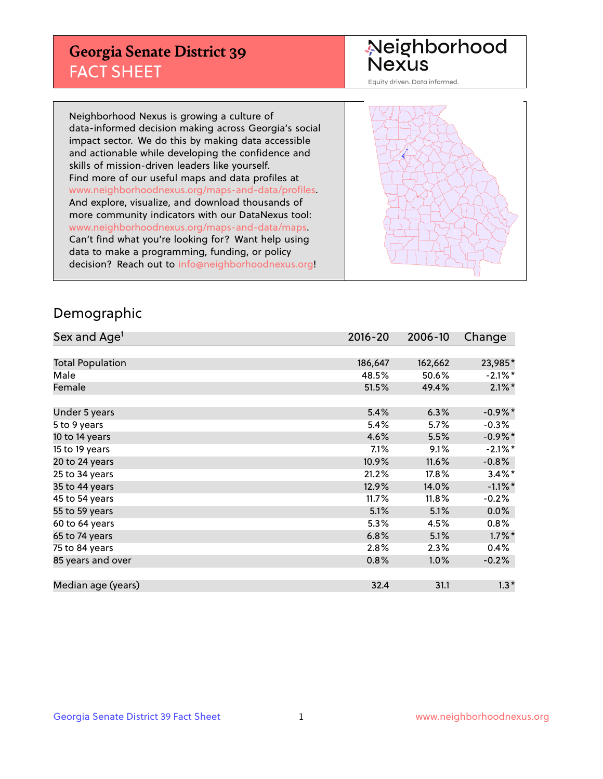## **Georgia Senate District 39** FACT SHEET

# Neighborhood<br>Nexus

Equity driven. Data informed.

Neighborhood Nexus is growing a culture of data-informed decision making across Georgia's social impact sector. We do this by making data accessible and actionable while developing the confidence and skills of mission-driven leaders like yourself. Find more of our useful maps and data profiles at www.neighborhoodnexus.org/maps-and-data/profiles. And explore, visualize, and download thousands of more community indicators with our DataNexus tool: www.neighborhoodnexus.org/maps-and-data/maps. Can't find what you're looking for? Want help using data to make a programming, funding, or policy decision? Reach out to [info@neighborhoodnexus.org!](mailto:info@neighborhoodnexus.org)



### Demographic

| Sex and Age <sup>1</sup> | $2016 - 20$ | 2006-10 | Change     |
|--------------------------|-------------|---------|------------|
|                          |             |         |            |
| <b>Total Population</b>  | 186,647     | 162,662 | 23,985*    |
| Male                     | 48.5%       | 50.6%   | $-2.1\%$ * |
| Female                   | 51.5%       | 49.4%   | $2.1\%$ *  |
|                          |             |         |            |
| Under 5 years            | 5.4%        | 6.3%    | $-0.9\%$ * |
| 5 to 9 years             | 5.4%        | 5.7%    | $-0.3%$    |
| 10 to 14 years           | 4.6%        | 5.5%    | $-0.9\%$ * |
| 15 to 19 years           | 7.1%        | 9.1%    | $-2.1\%$ * |
| 20 to 24 years           | 10.9%       | 11.6%   | $-0.8%$    |
| 25 to 34 years           | 21.2%       | 17.8%   | $3.4\%$ *  |
| 35 to 44 years           | 12.9%       | 14.0%   | $-1.1\%$ * |
| 45 to 54 years           | 11.7%       | 11.8%   | $-0.2%$    |
| 55 to 59 years           | 5.1%        | 5.1%    | 0.0%       |
| 60 to 64 years           | 5.3%        | 4.5%    | $0.8\%$    |
| 65 to 74 years           | 6.8%        | 5.1%    | $1.7\%$ *  |
| 75 to 84 years           | 2.8%        | 2.3%    | 0.4%       |
| 85 years and over        | 0.8%        | 1.0%    | $-0.2%$    |
|                          |             |         |            |
| Median age (years)       | 32.4        | 31.1    | $1.3*$     |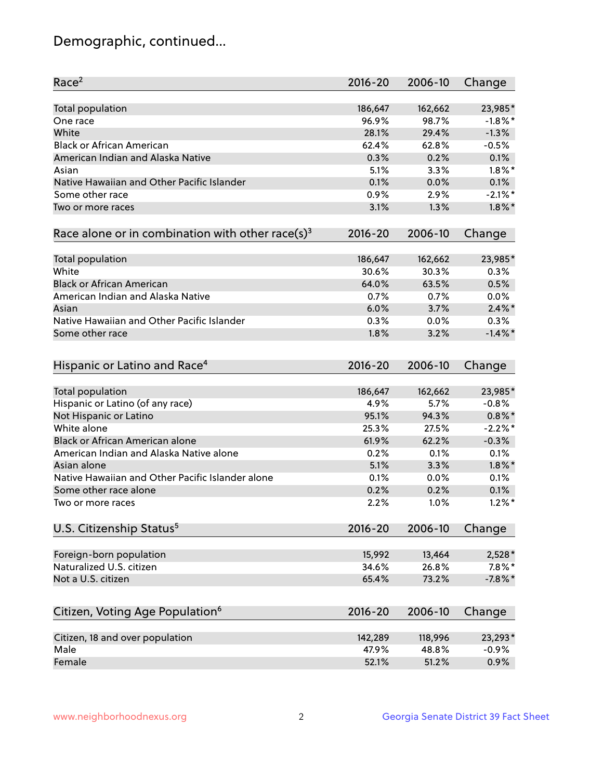## Demographic, continued...

| Race <sup>2</sup>                                            | $2016 - 20$ | 2006-10 | Change     |
|--------------------------------------------------------------|-------------|---------|------------|
| <b>Total population</b>                                      | 186,647     | 162,662 | 23,985*    |
| One race                                                     | 96.9%       | 98.7%   | $-1.8\%$ * |
| White                                                        | 28.1%       | 29.4%   | $-1.3%$    |
| <b>Black or African American</b>                             | 62.4%       | 62.8%   | $-0.5%$    |
| American Indian and Alaska Native                            | 0.3%        | 0.2%    | 0.1%       |
| Asian                                                        | 5.1%        | 3.3%    | $1.8\%$ *  |
| Native Hawaiian and Other Pacific Islander                   | 0.1%        | 0.0%    | 0.1%       |
| Some other race                                              | 0.9%        | 2.9%    | $-2.1\%$ * |
| Two or more races                                            | 3.1%        | 1.3%    | $1.8\%$ *  |
| Race alone or in combination with other race(s) <sup>3</sup> | $2016 - 20$ | 2006-10 | Change     |
| Total population                                             | 186,647     | 162,662 | 23,985*    |
| White                                                        | 30.6%       | 30.3%   | 0.3%       |
| <b>Black or African American</b>                             | 64.0%       | 63.5%   | 0.5%       |
| American Indian and Alaska Native                            | 0.7%        | 0.7%    | 0.0%       |
| Asian                                                        | 6.0%        | 3.7%    | $2.4\%$ *  |
| Native Hawaiian and Other Pacific Islander                   | 0.3%        | 0.0%    | 0.3%       |
| Some other race                                              | 1.8%        | 3.2%    | $-1.4\%$ * |
| Hispanic or Latino and Race <sup>4</sup>                     | $2016 - 20$ | 2006-10 | Change     |
| <b>Total population</b>                                      | 186,647     | 162,662 | 23,985*    |
| Hispanic or Latino (of any race)                             | 4.9%        | 5.7%    | $-0.8%$    |
| Not Hispanic or Latino                                       | 95.1%       | 94.3%   | $0.8\%$ *  |
| White alone                                                  | 25.3%       | 27.5%   | $-2.2\%$ * |
| <b>Black or African American alone</b>                       | 61.9%       | 62.2%   | $-0.3%$    |
| American Indian and Alaska Native alone                      | 0.2%        | 0.1%    | 0.1%       |
| Asian alone                                                  | 5.1%        | 3.3%    | $1.8\%$ *  |
| Native Hawaiian and Other Pacific Islander alone             | 0.1%        | 0.0%    | 0.1%       |
| Some other race alone                                        | 0.2%        | 0.2%    | 0.1%       |
| Two or more races                                            | 2.2%        | 1.0%    | $1.2\%$ *  |
| U.S. Citizenship Status <sup>5</sup>                         | $2016 - 20$ | 2006-10 | Change     |
| Foreign-born population                                      | 15,992      | 13,464  | 2,528*     |
| Naturalized U.S. citizen                                     | 34.6%       | 26.8%   | $7.8\%$ *  |
| Not a U.S. citizen                                           | 65.4%       | 73.2%   | $-7.8\%$ * |
| Citizen, Voting Age Population <sup>6</sup>                  | $2016 - 20$ | 2006-10 | Change     |
|                                                              |             |         |            |
| Citizen, 18 and over population                              | 142,289     | 118,996 | 23,293*    |
| Male                                                         | 47.9%       | 48.8%   | $-0.9%$    |
| Female                                                       | 52.1%       | 51.2%   | 0.9%       |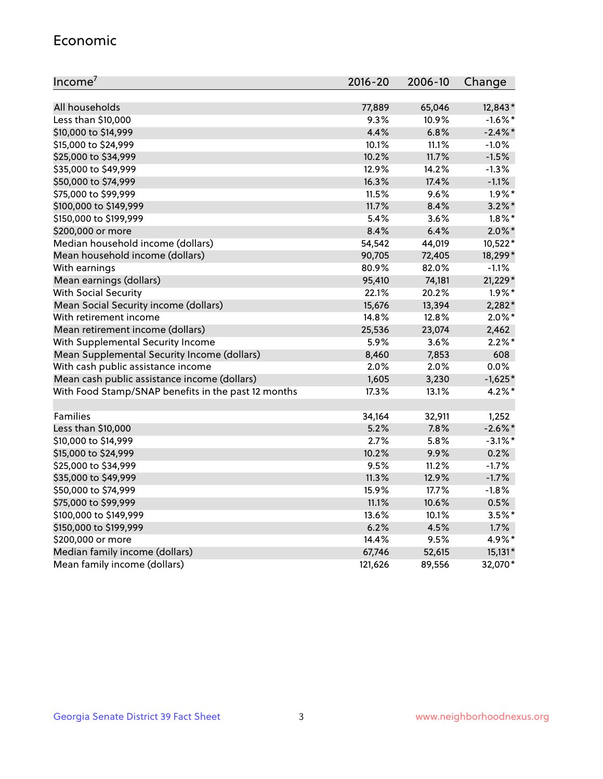#### Economic

| Income <sup>7</sup>                                 | $2016 - 20$ | 2006-10 | Change     |
|-----------------------------------------------------|-------------|---------|------------|
|                                                     |             |         |            |
| All households                                      | 77,889      | 65,046  | 12,843*    |
| Less than \$10,000                                  | 9.3%        | 10.9%   | $-1.6\%$ * |
| \$10,000 to \$14,999                                | 4.4%        | 6.8%    | $-2.4\%$ * |
| \$15,000 to \$24,999                                | 10.1%       | 11.1%   | $-1.0%$    |
| \$25,000 to \$34,999                                | 10.2%       | 11.7%   | $-1.5%$    |
| \$35,000 to \$49,999                                | 12.9%       | 14.2%   | $-1.3%$    |
| \$50,000 to \$74,999                                | 16.3%       | 17.4%   | $-1.1%$    |
| \$75,000 to \$99,999                                | 11.5%       | 9.6%    | $1.9\%$ *  |
| \$100,000 to \$149,999                              | 11.7%       | 8.4%    | $3.2\%$ *  |
| \$150,000 to \$199,999                              | 5.4%        | 3.6%    | $1.8\%$ *  |
| \$200,000 or more                                   | 8.4%        | 6.4%    | $2.0\%$ *  |
| Median household income (dollars)                   | 54,542      | 44,019  | 10,522*    |
| Mean household income (dollars)                     | 90,705      | 72,405  | 18,299*    |
| With earnings                                       | 80.9%       | 82.0%   | $-1.1%$    |
| Mean earnings (dollars)                             | 95,410      | 74,181  | 21,229*    |
| <b>With Social Security</b>                         | 22.1%       | 20.2%   | $1.9\%$ *  |
| Mean Social Security income (dollars)               | 15,676      | 13,394  | $2,282*$   |
| With retirement income                              | 14.8%       | 12.8%   | $2.0\%$ *  |
| Mean retirement income (dollars)                    | 25,536      | 23,074  | 2,462      |
| With Supplemental Security Income                   | 5.9%        | 3.6%    | $2.2\%$ *  |
| Mean Supplemental Security Income (dollars)         | 8,460       | 7,853   | 608        |
| With cash public assistance income                  | 2.0%        | 2.0%    | 0.0%       |
| Mean cash public assistance income (dollars)        | 1,605       | 3,230   | $-1,625*$  |
| With Food Stamp/SNAP benefits in the past 12 months | 17.3%       | 13.1%   | $4.2\%$ *  |
|                                                     |             |         |            |
| Families                                            | 34,164      | 32,911  | 1,252      |
| Less than \$10,000                                  | 5.2%        | 7.8%    | $-2.6\%$ * |
| \$10,000 to \$14,999                                | 2.7%        | 5.8%    | $-3.1\%$ * |
| \$15,000 to \$24,999                                | 10.2%       | 9.9%    | 0.2%       |
| \$25,000 to \$34,999                                | 9.5%        | 11.2%   | $-1.7%$    |
| \$35,000 to \$49,999                                | 11.3%       | 12.9%   | $-1.7%$    |
| \$50,000 to \$74,999                                | 15.9%       | 17.7%   | $-1.8%$    |
| \$75,000 to \$99,999                                | 11.1%       | 10.6%   | 0.5%       |
| \$100,000 to \$149,999                              | 13.6%       | 10.1%   | $3.5%$ *   |
| \$150,000 to \$199,999                              | 6.2%        | 4.5%    | 1.7%       |
| \$200,000 or more                                   | 14.4%       | 9.5%    | 4.9%*      |
| Median family income (dollars)                      | 67,746      | 52,615  | $15,131*$  |
| Mean family income (dollars)                        | 121,626     | 89,556  | 32,070*    |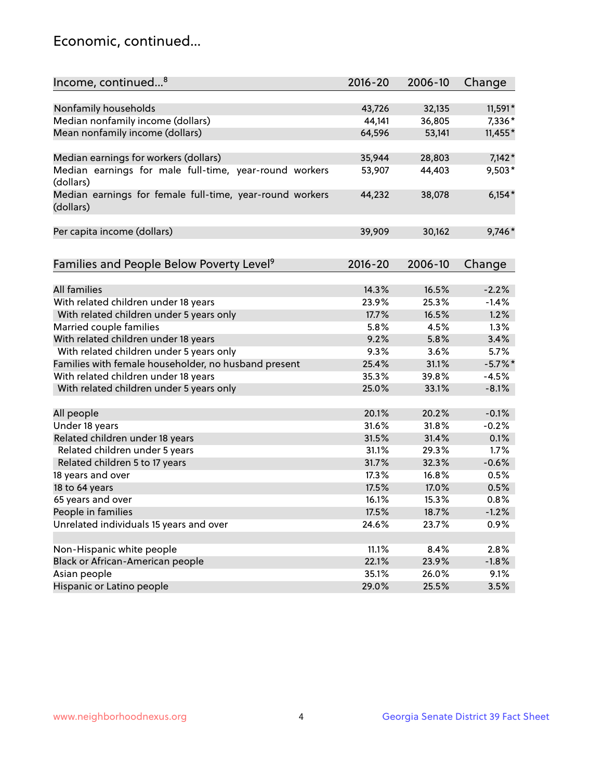## Economic, continued...

| Income, continued <sup>8</sup>                                        | $2016 - 20$ | 2006-10 | Change    |
|-----------------------------------------------------------------------|-------------|---------|-----------|
|                                                                       |             |         |           |
| Nonfamily households                                                  | 43,726      | 32,135  | 11,591*   |
| Median nonfamily income (dollars)                                     | 44,141      | 36,805  | 7,336*    |
| Mean nonfamily income (dollars)                                       | 64,596      | 53,141  | 11,455*   |
| Median earnings for workers (dollars)                                 | 35,944      | 28,803  | $7,142*$  |
| Median earnings for male full-time, year-round workers                | 53,907      | 44,403  | $9,503*$  |
| (dollars)                                                             |             |         |           |
| Median earnings for female full-time, year-round workers<br>(dollars) | 44,232      | 38,078  | $6,154*$  |
| Per capita income (dollars)                                           | 39,909      | 30,162  | 9,746*    |
|                                                                       |             |         |           |
| Families and People Below Poverty Level <sup>9</sup>                  | 2016-20     | 2006-10 | Change    |
|                                                                       |             |         |           |
| <b>All families</b>                                                   | 14.3%       | 16.5%   | $-2.2%$   |
| With related children under 18 years                                  | 23.9%       | 25.3%   | $-1.4%$   |
| With related children under 5 years only                              | 17.7%       | 16.5%   | 1.2%      |
| Married couple families                                               | 5.8%        | 4.5%    | $1.3\%$   |
| With related children under 18 years                                  | 9.2%        | 5.8%    | 3.4%      |
| With related children under 5 years only                              | 9.3%        | 3.6%    | 5.7%      |
| Families with female householder, no husband present                  | 25.4%       | 31.1%   | $-5.7%$ * |
| With related children under 18 years                                  | 35.3%       | 39.8%   | $-4.5%$   |
| With related children under 5 years only                              | 25.0%       | 33.1%   | $-8.1%$   |
|                                                                       |             |         |           |
| All people                                                            | 20.1%       | 20.2%   | $-0.1%$   |
| Under 18 years                                                        | 31.6%       | 31.8%   | $-0.2%$   |
| Related children under 18 years                                       | 31.5%       | 31.4%   | 0.1%      |
| Related children under 5 years                                        | 31.1%       | 29.3%   | 1.7%      |
| Related children 5 to 17 years                                        | 31.7%       | 32.3%   | $-0.6%$   |
| 18 years and over                                                     | 17.3%       | 16.8%   | 0.5%      |
| 18 to 64 years                                                        | 17.5%       | 17.0%   | 0.5%      |
| 65 years and over                                                     | 16.1%       | 15.3%   | 0.8%      |
| People in families                                                    | 17.5%       | 18.7%   | $-1.2%$   |
| Unrelated individuals 15 years and over                               | 24.6%       | 23.7%   | 0.9%      |
|                                                                       |             |         |           |
| Non-Hispanic white people                                             | 11.1%       | 8.4%    | 2.8%      |
| Black or African-American people                                      | 22.1%       | 23.9%   | $-1.8%$   |
| Asian people                                                          | 35.1%       | 26.0%   | 9.1%      |
| Hispanic or Latino people                                             | 29.0%       | 25.5%   | 3.5%      |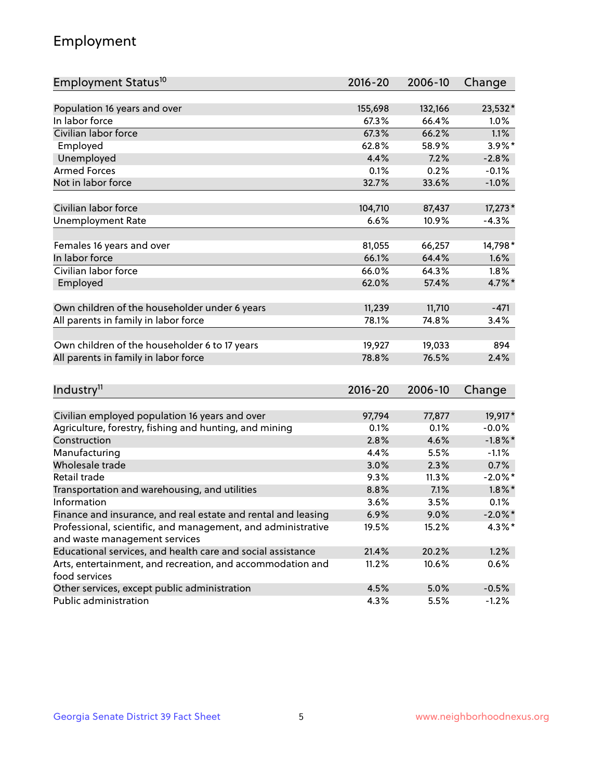## Employment

| Employment Status <sup>10</sup>                                                               | $2016 - 20$ | 2006-10 | Change     |
|-----------------------------------------------------------------------------------------------|-------------|---------|------------|
|                                                                                               |             |         |            |
| Population 16 years and over                                                                  | 155,698     | 132,166 | 23,532*    |
| In labor force                                                                                | 67.3%       | 66.4%   | 1.0%       |
| Civilian labor force                                                                          | 67.3%       | 66.2%   | 1.1%       |
| Employed                                                                                      | 62.8%       | 58.9%   | 3.9%*      |
| Unemployed                                                                                    | 4.4%        | 7.2%    | $-2.8%$    |
| <b>Armed Forces</b>                                                                           | 0.1%        | 0.2%    | $-0.1%$    |
| Not in labor force                                                                            | 32.7%       | 33.6%   | $-1.0%$    |
| Civilian labor force                                                                          | 104,710     | 87,437  | 17,273*    |
|                                                                                               | 6.6%        | 10.9%   | $-4.3%$    |
| <b>Unemployment Rate</b>                                                                      |             |         |            |
| Females 16 years and over                                                                     | 81,055      | 66,257  | 14,798*    |
| In labor force                                                                                | 66.1%       | 64.4%   | 1.6%       |
| Civilian labor force                                                                          | 66.0%       | 64.3%   | 1.8%       |
| Employed                                                                                      | 62.0%       | 57.4%   | 4.7%*      |
|                                                                                               |             |         |            |
| Own children of the householder under 6 years                                                 | 11,239      | 11,710  | $-471$     |
| All parents in family in labor force                                                          | 78.1%       | 74.8%   | 3.4%       |
| Own children of the householder 6 to 17 years                                                 | 19,927      | 19,033  | 894        |
| All parents in family in labor force                                                          | 78.8%       | 76.5%   | 2.4%       |
|                                                                                               |             |         |            |
| Industry <sup>11</sup>                                                                        | $2016 - 20$ | 2006-10 | Change     |
|                                                                                               |             |         |            |
| Civilian employed population 16 years and over                                                | 97,794      | 77,877  | 19,917*    |
| Agriculture, forestry, fishing and hunting, and mining                                        | 0.1%        | 0.1%    | $-0.0%$    |
| Construction                                                                                  | 2.8%        | 4.6%    | $-1.8\%$ * |
| Manufacturing                                                                                 | 4.4%        | 5.5%    | $-1.1%$    |
| Wholesale trade                                                                               | 3.0%        | 2.3%    | 0.7%       |
| Retail trade                                                                                  | 9.3%        | 11.3%   | $-2.0\%$ * |
| Transportation and warehousing, and utilities                                                 | 8.8%        | 7.1%    | $1.8\%$ *  |
| Information                                                                                   | 3.6%        | 3.5%    | 0.1%       |
| Finance and insurance, and real estate and rental and leasing                                 | 6.9%        | 9.0%    | $-2.0\%$ * |
| Professional, scientific, and management, and administrative<br>and waste management services | 19.5%       | 15.2%   | $4.3\%$ *  |
| Educational services, and health care and social assistance                                   | 21.4%       | 20.2%   | 1.2%       |
| Arts, entertainment, and recreation, and accommodation and                                    | 11.2%       | 10.6%   | 0.6%       |
| food services                                                                                 |             |         |            |
| Other services, except public administration                                                  | 4.5%        | 5.0%    | $-0.5%$    |
| Public administration                                                                         | 4.3%        | 5.5%    | $-1.2%$    |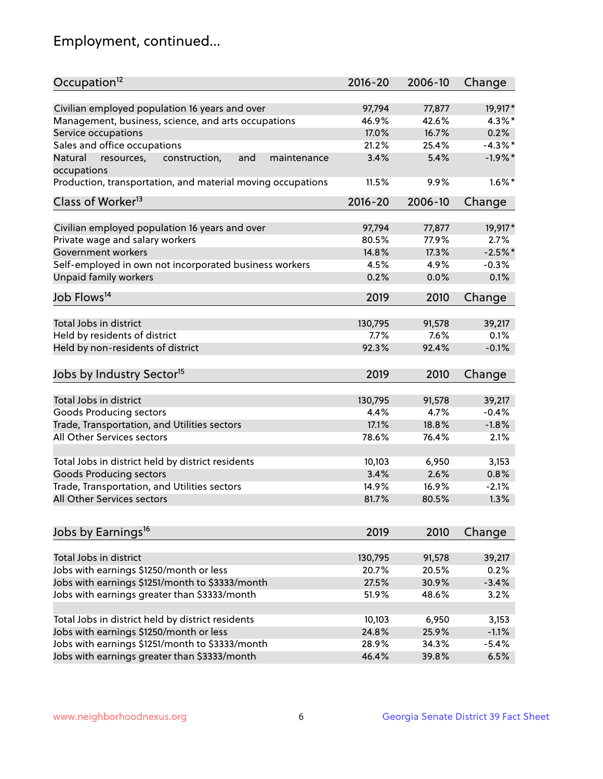## Employment, continued...

| Occupation <sup>12</sup>                                     | $2016 - 20$ | 2006-10 | Change     |
|--------------------------------------------------------------|-------------|---------|------------|
| Civilian employed population 16 years and over               | 97,794      | 77,877  | 19,917*    |
| Management, business, science, and arts occupations          | 46.9%       | 42.6%   | $4.3\%$ *  |
| Service occupations                                          | 17.0%       | 16.7%   | 0.2%       |
| Sales and office occupations                                 | 21.2%       | 25.4%   | $-4.3\%$ * |
| Natural<br>and<br>resources,<br>construction,<br>maintenance | 3.4%        | 5.4%    | $-1.9%$ *  |
| occupations                                                  |             |         |            |
| Production, transportation, and material moving occupations  | 11.5%       | 9.9%    | $1.6\%$ *  |
| Class of Worker <sup>13</sup>                                | $2016 - 20$ | 2006-10 | Change     |
|                                                              |             |         |            |
| Civilian employed population 16 years and over               | 97,794      | 77,877  | 19,917*    |
| Private wage and salary workers                              | 80.5%       | 77.9%   | 2.7%       |
| Government workers                                           | 14.8%       | 17.3%   | $-2.5%$ *  |
| Self-employed in own not incorporated business workers       | 4.5%        | 4.9%    | $-0.3%$    |
| Unpaid family workers                                        | 0.2%        | 0.0%    | 0.1%       |
| Job Flows <sup>14</sup>                                      | 2019        | 2010    | Change     |
|                                                              |             |         |            |
| Total Jobs in district                                       | 130,795     | 91,578  | 39,217     |
| Held by residents of district                                | 7.7%        | 7.6%    | 0.1%       |
| Held by non-residents of district                            | 92.3%       | 92.4%   | $-0.1%$    |
| Jobs by Industry Sector <sup>15</sup>                        | 2019        | 2010    | Change     |
|                                                              |             |         |            |
| Total Jobs in district                                       | 130,795     | 91,578  | 39,217     |
| Goods Producing sectors                                      | 4.4%        | 4.7%    | $-0.4%$    |
| Trade, Transportation, and Utilities sectors                 | 17.1%       | 18.8%   | $-1.8%$    |
| All Other Services sectors                                   | 78.6%       | 76.4%   | 2.1%       |
|                                                              |             |         |            |
| Total Jobs in district held by district residents            | 10,103      | 6,950   | 3,153      |
| <b>Goods Producing sectors</b>                               | 3.4%        | 2.6%    | 0.8%       |
| Trade, Transportation, and Utilities sectors                 | 14.9%       | 16.9%   | $-2.1%$    |
| All Other Services sectors                                   | 81.7%       | 80.5%   | 1.3%       |
|                                                              |             |         |            |
| Jobs by Earnings <sup>16</sup>                               | 2019        | 2010    | Change     |
| Total Jobs in district                                       | 130,795     | 91,578  | 39,217     |
| Jobs with earnings \$1250/month or less                      | 20.7%       | 20.5%   | 0.2%       |
| Jobs with earnings \$1251/month to \$3333/month              | 27.5%       | 30.9%   | $-3.4%$    |
| Jobs with earnings greater than \$3333/month                 | 51.9%       | 48.6%   | 3.2%       |
|                                                              |             |         |            |
| Total Jobs in district held by district residents            | 10,103      | 6,950   | 3,153      |
| Jobs with earnings \$1250/month or less                      | 24.8%       | 25.9%   | $-1.1%$    |
| Jobs with earnings \$1251/month to \$3333/month              | 28.9%       | 34.3%   | $-5.4%$    |
| Jobs with earnings greater than \$3333/month                 | 46.4%       | 39.8%   | 6.5%       |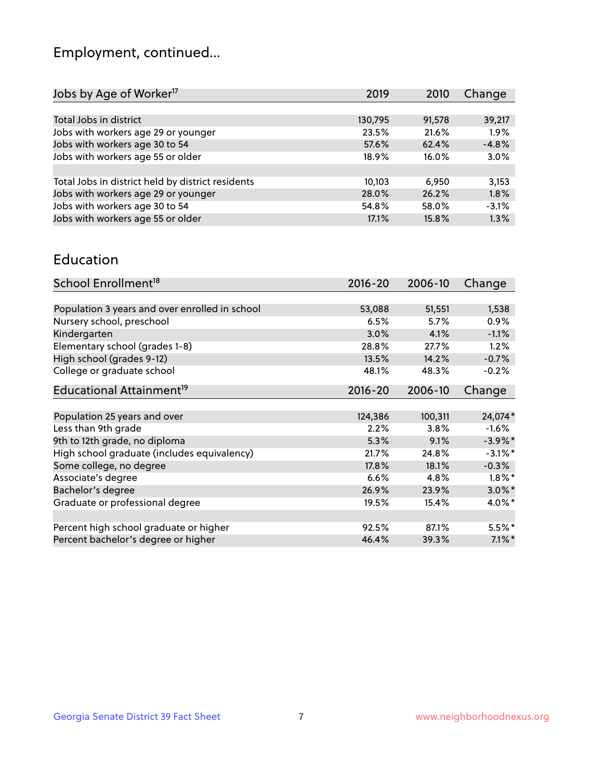## Employment, continued...

| 2019    | 2010   | Change  |
|---------|--------|---------|
|         |        |         |
| 130,795 | 91,578 | 39,217  |
| 23.5%   | 21.6%  | 1.9%    |
| 57.6%   | 62.4%  | $-4.8%$ |
| 18.9%   | 16.0%  | 3.0%    |
|         |        |         |
| 10,103  | 6.950  | 3,153   |
| 28.0%   | 26.2%  | 1.8%    |
| 54.8%   | 58.0%  | $-3.1%$ |
| 17.1%   | 15.8%  | 1.3%    |
|         |        |         |

#### Education

| School Enrollment <sup>18</sup>                | $2016 - 20$ | 2006-10 | Change     |
|------------------------------------------------|-------------|---------|------------|
|                                                |             |         |            |
| Population 3 years and over enrolled in school | 53,088      | 51,551  | 1,538      |
| Nursery school, preschool                      | 6.5%        | 5.7%    | $0.9\%$    |
| Kindergarten                                   | 3.0%        | 4.1%    | $-1.1%$    |
| Elementary school (grades 1-8)                 | 28.8%       | 27.7%   | 1.2%       |
| High school (grades 9-12)                      | 13.5%       | 14.2%   | $-0.7%$    |
| College or graduate school                     | 48.1%       | 48.3%   | $-0.2%$    |
| Educational Attainment <sup>19</sup>           | $2016 - 20$ | 2006-10 | Change     |
|                                                |             |         |            |
| Population 25 years and over                   | 124,386     | 100,311 | 24,074*    |
| Less than 9th grade                            | 2.2%        | 3.8%    | $-1.6%$    |
| 9th to 12th grade, no diploma                  | 5.3%        | 9.1%    | $-3.9\%$ * |
| High school graduate (includes equivalency)    | 21.7%       | 24.8%   | $-3.1\%$ * |
| Some college, no degree                        | 17.8%       | 18.1%   | $-0.3%$    |
| Associate's degree                             | 6.6%        | 4.8%    | $1.8\%$ *  |
| Bachelor's degree                              | 26.9%       | 23.9%   | $3.0\%$ *  |
| Graduate or professional degree                | 19.5%       | 15.4%   | 4.0%*      |
|                                                |             |         |            |
| Percent high school graduate or higher         | 92.5%       | 87.1%   | $5.5%$ *   |
| Percent bachelor's degree or higher            | 46.4%       | 39.3%   | $7.1\%$ *  |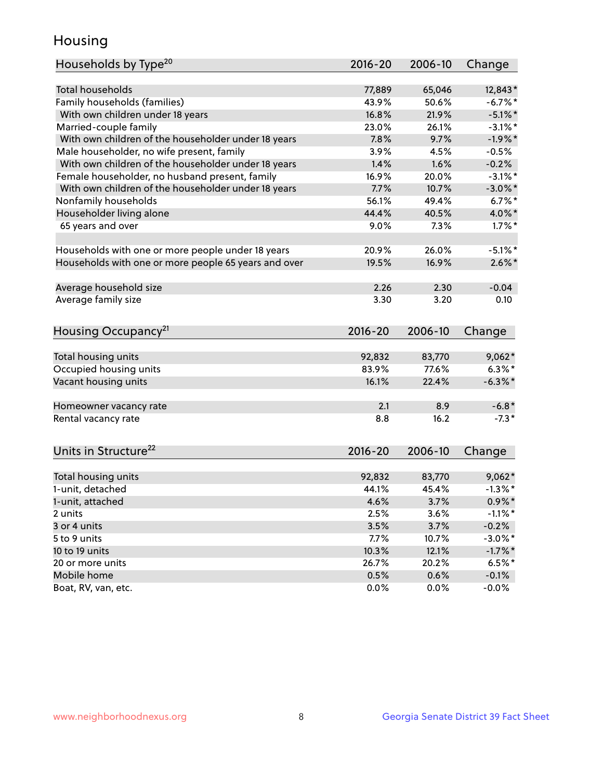## Housing

| Households by Type <sup>20</sup>                     | 2016-20     | 2006-10 | Change     |
|------------------------------------------------------|-------------|---------|------------|
|                                                      |             |         |            |
| <b>Total households</b>                              | 77,889      | 65,046  | 12,843*    |
| Family households (families)                         | 43.9%       | 50.6%   | $-6.7%$ *  |
| With own children under 18 years                     | 16.8%       | 21.9%   | $-5.1\%$ * |
| Married-couple family                                | 23.0%       | 26.1%   | $-3.1\%$ * |
| With own children of the householder under 18 years  | 7.8%        | 9.7%    | $-1.9%$ *  |
| Male householder, no wife present, family            | 3.9%        | 4.5%    | $-0.5%$    |
| With own children of the householder under 18 years  | 1.4%        | 1.6%    | $-0.2%$    |
| Female householder, no husband present, family       | 16.9%       | 20.0%   | $-3.1\%$ * |
| With own children of the householder under 18 years  | 7.7%        | 10.7%   | $-3.0\%$ * |
| Nonfamily households                                 | 56.1%       | 49.4%   | $6.7%$ *   |
| Householder living alone                             | 44.4%       | 40.5%   | 4.0%*      |
| 65 years and over                                    | 9.0%        | 7.3%    | $1.7\%$ *  |
|                                                      |             |         |            |
| Households with one or more people under 18 years    | 20.9%       | 26.0%   | $-5.1\%$ * |
| Households with one or more people 65 years and over | 19.5%       | 16.9%   | $2.6\%$ *  |
|                                                      |             |         |            |
| Average household size                               | 2.26        | 2.30    | $-0.04$    |
| Average family size                                  | 3.30        | 3.20    | 0.10       |
|                                                      |             |         |            |
| Housing Occupancy <sup>21</sup>                      | $2016 - 20$ | 2006-10 | Change     |
|                                                      |             |         |            |
| Total housing units                                  | 92,832      | 83,770  | $9,062*$   |
| Occupied housing units                               | 83.9%       | 77.6%   | $6.3\%$ *  |
| Vacant housing units                                 | 16.1%       | 22.4%   | $-6.3\%$ * |
|                                                      |             |         |            |
| Homeowner vacancy rate                               | 2.1         | 8.9     | $-6.8*$    |
| Rental vacancy rate                                  | 8.8         | 16.2    | $-7.3*$    |
|                                                      |             |         |            |
| Units in Structure <sup>22</sup>                     | $2016 - 20$ | 2006-10 | Change     |
|                                                      |             |         |            |
| Total housing units                                  | 92,832      | 83,770  | $9,062*$   |
| 1-unit, detached                                     | 44.1%       | 45.4%   | $-1.3\%$ * |
| 1-unit, attached                                     | 4.6%        | 3.7%    | $0.9\% *$  |
| 2 units                                              | 2.5%        | 3.6%    | $-1.1\%$ * |
| 3 or 4 units                                         | 3.5%        | 3.7%    | $-0.2%$    |
| 5 to 9 units                                         | 7.7%        | 10.7%   | $-3.0\%$ * |
| 10 to 19 units                                       | 10.3%       | 12.1%   | $-1.7\%$ * |
| 20 or more units                                     | 26.7%       | 20.2%   | $6.5%$ *   |
| Mobile home                                          | 0.5%        | 0.6%    | $-0.1%$    |
| Boat, RV, van, etc.                                  |             |         |            |
|                                                      | 0.0%        | 0.0%    | $-0.0\%$   |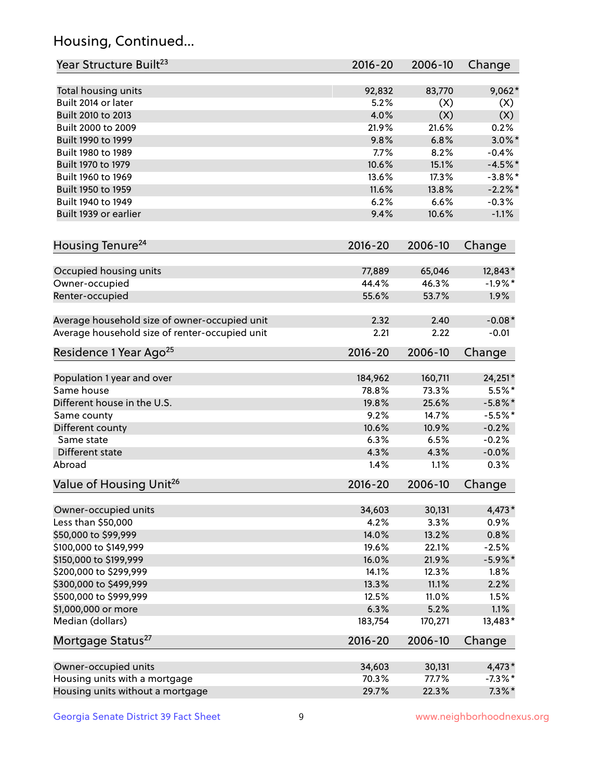## Housing, Continued...

| Year Structure Built <sup>23</sup>             | 2016-20     | 2006-10 | Change     |
|------------------------------------------------|-------------|---------|------------|
| Total housing units                            | 92,832      | 83,770  | $9,062*$   |
| Built 2014 or later                            | 5.2%        | (X)     | (X)        |
| Built 2010 to 2013                             | 4.0%        | (X)     | (X)        |
| Built 2000 to 2009                             | 21.9%       | 21.6%   | 0.2%       |
| Built 1990 to 1999                             | 9.8%        | 6.8%    | $3.0\%$ *  |
| Built 1980 to 1989                             | 7.7%        | 8.2%    | $-0.4%$    |
| Built 1970 to 1979                             | 10.6%       | 15.1%   | $-4.5%$ *  |
| Built 1960 to 1969                             | 13.6%       | 17.3%   | $-3.8\%$ * |
| Built 1950 to 1959                             | 11.6%       | 13.8%   | $-2.2\%$ * |
| Built 1940 to 1949                             | 6.2%        | 6.6%    | $-0.3%$    |
| Built 1939 or earlier                          | 9.4%        | 10.6%   | $-1.1%$    |
| Housing Tenure <sup>24</sup>                   | $2016 - 20$ | 2006-10 | Change     |
| Occupied housing units                         | 77,889      | 65,046  | 12,843*    |
| Owner-occupied                                 | 44.4%       | 46.3%   | $-1.9%$ *  |
| Renter-occupied                                | 55.6%       | 53.7%   | 1.9%       |
| Average household size of owner-occupied unit  | 2.32        | 2.40    | $-0.08*$   |
| Average household size of renter-occupied unit | 2.21        | 2.22    | $-0.01$    |
| Residence 1 Year Ago <sup>25</sup>             | $2016 - 20$ | 2006-10 | Change     |
| Population 1 year and over                     | 184,962     | 160,711 | 24,251*    |
| Same house                                     | 78.8%       | 73.3%   | $5.5%$ *   |
| Different house in the U.S.                    | 19.8%       | 25.6%   | $-5.8\%$ * |
| Same county                                    | 9.2%        | 14.7%   | $-5.5%$ *  |
| Different county                               | 10.6%       | 10.9%   | $-0.2%$    |
| Same state                                     | 6.3%        | 6.5%    | $-0.2%$    |
| Different state                                | 4.3%        | 4.3%    | $-0.0%$    |
| Abroad                                         | 1.4%        | 1.1%    | 0.3%       |
| Value of Housing Unit <sup>26</sup>            | $2016 - 20$ | 2006-10 | Change     |
| Owner-occupied units                           | 34,603      | 30,131  | 4,473*     |
| Less than \$50,000                             | 4.2%        | 3.3%    | 0.9%       |
| \$50,000 to \$99,999                           | 14.0%       | 13.2%   | 0.8%       |
| \$100,000 to \$149,999                         | 19.6%       | 22.1%   | $-2.5%$    |
| \$150,000 to \$199,999                         | 16.0%       | 21.9%   | $-5.9\%$ * |
| \$200,000 to \$299,999                         | 14.1%       | 12.3%   | 1.8%       |
| \$300,000 to \$499,999                         | 13.3%       | 11.1%   | 2.2%       |
| \$500,000 to \$999,999                         | 12.5%       | 11.0%   | 1.5%       |
| \$1,000,000 or more                            | 6.3%        | 5.2%    | 1.1%       |
| Median (dollars)                               | 183,754     | 170,271 | 13,483*    |
| Mortgage Status <sup>27</sup>                  | $2016 - 20$ | 2006-10 | Change     |
| Owner-occupied units                           | 34,603      | 30,131  | $4,473*$   |
| Housing units with a mortgage                  | 70.3%       | 77.7%   | $-7.3\%$ * |
| Housing units without a mortgage               | 29.7%       | 22.3%   | $7.3\%$ *  |
|                                                |             |         |            |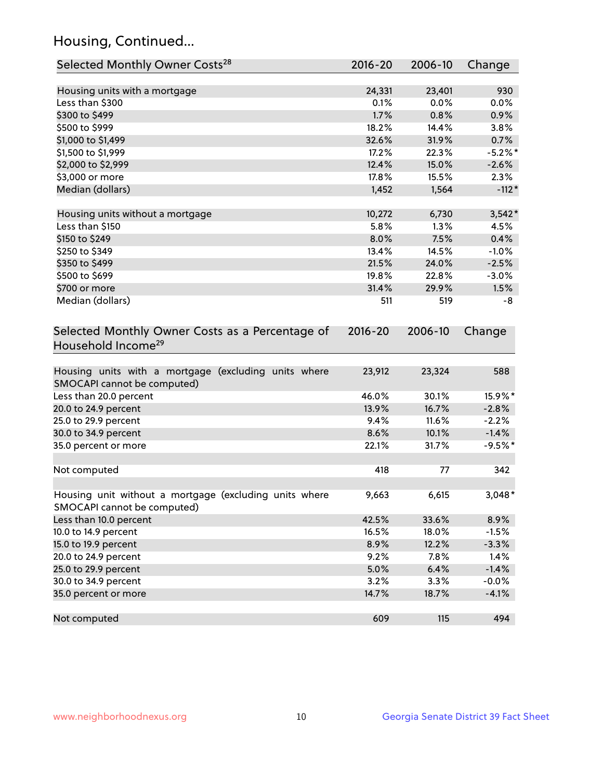## Housing, Continued...

| Selected Monthly Owner Costs <sup>28</sup>                                            | 2016-20     | 2006-10 | Change     |
|---------------------------------------------------------------------------------------|-------------|---------|------------|
| Housing units with a mortgage                                                         | 24,331      | 23,401  | 930        |
| Less than \$300                                                                       | 0.1%        | 0.0%    | 0.0%       |
| \$300 to \$499                                                                        | 1.7%        | 0.8%    | 0.9%       |
| \$500 to \$999                                                                        | 18.2%       | 14.4%   | 3.8%       |
| \$1,000 to \$1,499                                                                    | 32.6%       | 31.9%   | 0.7%       |
| \$1,500 to \$1,999                                                                    | 17.2%       | 22.3%   | $-5.2\%$ * |
| \$2,000 to \$2,999                                                                    | 12.4%       | 15.0%   | $-2.6%$    |
| \$3,000 or more                                                                       | 17.8%       | 15.5%   | 2.3%       |
| Median (dollars)                                                                      | 1,452       | 1,564   | $-112*$    |
|                                                                                       |             |         |            |
| Housing units without a mortgage                                                      | 10,272      | 6,730   | $3,542*$   |
| Less than \$150                                                                       | 5.8%        | 1.3%    | 4.5%       |
| \$150 to \$249                                                                        | 8.0%        | 7.5%    | 0.4%       |
| \$250 to \$349                                                                        | 13.4%       | 14.5%   | $-1.0%$    |
| \$350 to \$499                                                                        | 21.5%       | 24.0%   | $-2.5%$    |
| \$500 to \$699                                                                        | 19.8%       | 22.8%   | $-3.0%$    |
| \$700 or more                                                                         | 31.4%       | 29.9%   | 1.5%       |
| Median (dollars)                                                                      | 511         | 519     | -8         |
| Selected Monthly Owner Costs as a Percentage of<br>Household Income <sup>29</sup>     | $2016 - 20$ | 2006-10 | Change     |
| Housing units with a mortgage (excluding units where<br>SMOCAPI cannot be computed)   | 23,912      | 23,324  | 588        |
| Less than 20.0 percent                                                                | 46.0%       | 30.1%   | 15.9%*     |
| 20.0 to 24.9 percent                                                                  | 13.9%       | 16.7%   | $-2.8%$    |
| 25.0 to 29.9 percent                                                                  | 9.4%        | 11.6%   | $-2.2%$    |
| 30.0 to 34.9 percent                                                                  | 8.6%        | 10.1%   | $-1.4%$    |
| 35.0 percent or more                                                                  | 22.1%       | 31.7%   | $-9.5%$ *  |
| Not computed                                                                          | 418         | 77      | 342        |
| Housing unit without a mortgage (excluding units where<br>SMOCAPI cannot be computed) | 9,663       | 6,615   | $3,048*$   |
| Less than 10.0 percent                                                                | 42.5%       | 33.6%   | 8.9%       |
| 10.0 to 14.9 percent                                                                  | 16.5%       | 18.0%   | $-1.5%$    |
| 15.0 to 19.9 percent                                                                  | 8.9%        | 12.2%   | $-3.3%$    |
| 20.0 to 24.9 percent                                                                  | 9.2%        | 7.8%    | 1.4%       |
| 25.0 to 29.9 percent                                                                  | 5.0%        | 6.4%    | $-1.4%$    |
| 30.0 to 34.9 percent                                                                  | 3.2%        | 3.3%    | $-0.0%$    |
| 35.0 percent or more                                                                  | 14.7%       | 18.7%   | $-4.1%$    |
| Not computed                                                                          | 609         | 115     | 494        |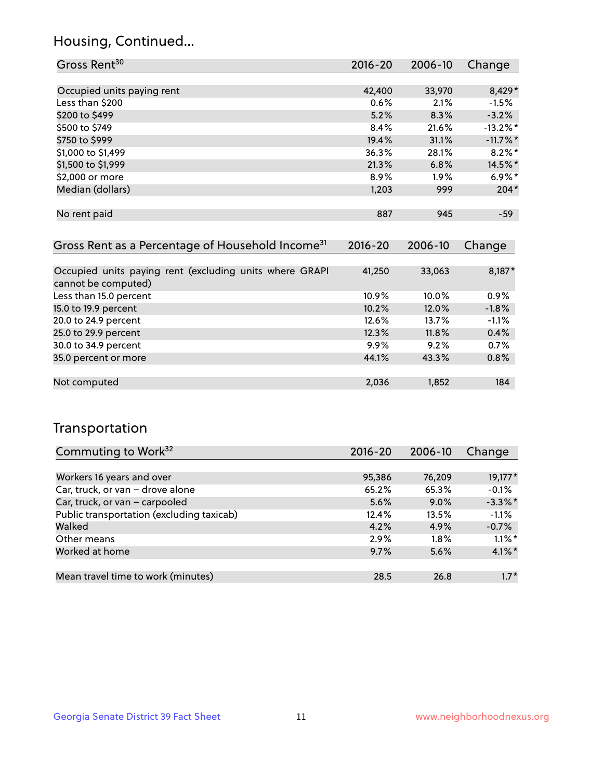## Housing, Continued...

| Gross Rent <sup>30</sup>   | 2016-20 | 2006-10 | Change      |
|----------------------------|---------|---------|-------------|
|                            |         |         |             |
| Occupied units paying rent | 42,400  | 33,970  | 8,429*      |
| Less than \$200            | 0.6%    | 2.1%    | $-1.5%$     |
| \$200 to \$499             | 5.2%    | 8.3%    | $-3.2%$     |
| \$500 to \$749             | 8.4%    | 21.6%   | $-13.2%$ *  |
| \$750 to \$999             | 19.4%   | 31.1%   | $-11.7\%$ * |
| \$1,000 to \$1,499         | 36.3%   | 28.1%   | $8.2\%$ *   |
| \$1,500 to \$1,999         | 21.3%   | 6.8%    | 14.5%*      |
| \$2,000 or more            | 8.9%    | 1.9%    | $6.9\%$ *   |
| Median (dollars)           | 1,203   | 999     | $204*$      |
|                            |         |         |             |
| No rent paid               | 887     | 945     | $-59$       |
|                            |         |         |             |

| Gross Rent as a Percentage of Household Income <sup>31</sup>                   | $2016 - 20$ | 2006-10 | Change  |
|--------------------------------------------------------------------------------|-------------|---------|---------|
|                                                                                |             |         |         |
| Occupied units paying rent (excluding units where GRAPI<br>cannot be computed) | 41,250      | 33,063  | 8,187*  |
| Less than 15.0 percent                                                         | 10.9%       | 10.0%   | 0.9%    |
| 15.0 to 19.9 percent                                                           | 10.2%       | 12.0%   | $-1.8%$ |
| 20.0 to 24.9 percent                                                           | 12.6%       | 13.7%   | $-1.1%$ |
| 25.0 to 29.9 percent                                                           | 12.3%       | 11.8%   | 0.4%    |
| 30.0 to 34.9 percent                                                           | $9.9\%$     | 9.2%    | 0.7%    |
| 35.0 percent or more                                                           | 44.1%       | 43.3%   | 0.8%    |
|                                                                                |             |         |         |
| Not computed                                                                   | 2,036       | 1,852   | 184     |

## Transportation

| Commuting to Work <sup>32</sup>           | 2016-20 | 2006-10 | Change     |
|-------------------------------------------|---------|---------|------------|
|                                           |         |         |            |
| Workers 16 years and over                 | 95,386  | 76,209  | 19,177*    |
| Car, truck, or van - drove alone          | 65.2%   | 65.3%   | $-0.1%$    |
| Car, truck, or van - carpooled            | 5.6%    | $9.0\%$ | $-3.3\%$ * |
| Public transportation (excluding taxicab) | 12.4%   | 13.5%   | $-1.1%$    |
| Walked                                    | 4.2%    | 4.9%    | $-0.7%$    |
| Other means                               | 2.9%    | $1.8\%$ | $1.1\%$ *  |
| Worked at home                            | 9.7%    | 5.6%    | $4.1\%$ *  |
|                                           |         |         |            |
| Mean travel time to work (minutes)        | 28.5    | 26.8    | $1.7*$     |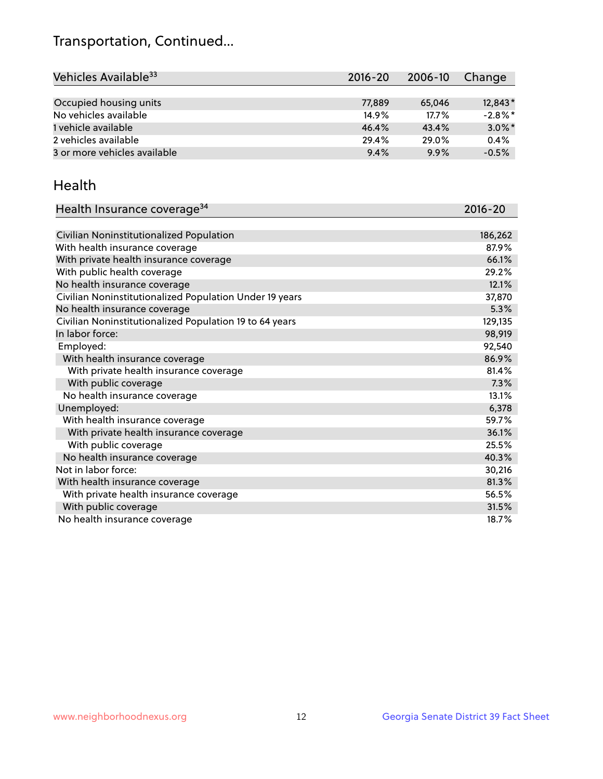## Transportation, Continued...

| Vehicles Available <sup>33</sup> | $2016 - 20$ | 2006-10 | Change     |
|----------------------------------|-------------|---------|------------|
|                                  |             |         |            |
| Occupied housing units           | 77,889      | 65,046  | 12,843*    |
| No vehicles available            | 14.9%       | 17.7%   | $-2.8\%$ * |
| 1 vehicle available              | 46.4%       | 43.4%   | $3.0\%$ *  |
| 2 vehicles available             | 29.4%       | 29.0%   | 0.4%       |
| 3 or more vehicles available     | 9.4%        | 9.9%    | $-0.5%$    |

#### Health

| Health Insurance coverage <sup>34</sup>                 | 2016-20 |
|---------------------------------------------------------|---------|
|                                                         |         |
| Civilian Noninstitutionalized Population                | 186,262 |
| With health insurance coverage                          | 87.9%   |
| With private health insurance coverage                  | 66.1%   |
| With public health coverage                             | 29.2%   |
| No health insurance coverage                            | 12.1%   |
| Civilian Noninstitutionalized Population Under 19 years | 37,870  |
| No health insurance coverage                            | 5.3%    |
| Civilian Noninstitutionalized Population 19 to 64 years | 129,135 |
| In labor force:                                         | 98,919  |
| Employed:                                               | 92,540  |
| With health insurance coverage                          | 86.9%   |
| With private health insurance coverage                  | 81.4%   |
| With public coverage                                    | 7.3%    |
| No health insurance coverage                            | 13.1%   |
| Unemployed:                                             | 6,378   |
| With health insurance coverage                          | 59.7%   |
| With private health insurance coverage                  | 36.1%   |
| With public coverage                                    | 25.5%   |
| No health insurance coverage                            | 40.3%   |
| Not in labor force:                                     | 30,216  |
| With health insurance coverage                          | 81.3%   |
| With private health insurance coverage                  | 56.5%   |
| With public coverage                                    | 31.5%   |
| No health insurance coverage                            | 18.7%   |